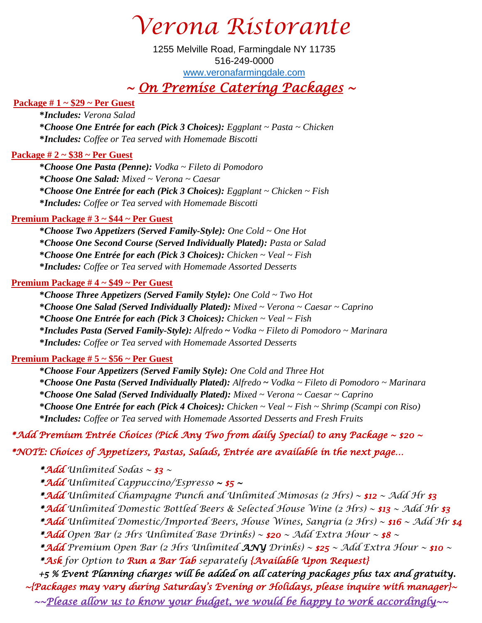*Verona Ristorante*

### *~ On Premise Catering Packages ~*

#### **Package # 1 ~ \$29 ~ Per Guest**

**\****Includes: Verona Salad* **\****Choose One Entrée for each (Pick 3 Choices): Eggplant ~ Pasta ~ Chicken* **\****Includes: Coffee or Tea served with Homemade Biscotti*

#### **Package # 2 ~ \$38 ~ Per Guest**

**\****Choose One Pasta (Penne): Vodka ~ Fileto di Pomodoro* **\****Choose One Salad: Mixed ~ Verona ~ Caesar* **\****Choose One Entrée for each (Pick 3 Choices): Eggplant ~ Chicken ~ Fish* **\****Includes: Coffee or Tea served with Homemade Biscotti*

#### **Premium Package # 3 ~ \$44 ~ Per Guest**

 **\****Choose Two Appetizers (Served Family-Style): One Cold ~ One Hot* **\****Choose One Second Course (Served Individually Plated): Pasta or Salad* **\****Choose One Entrée for each (Pick 3 Choices): Chicken ~ Veal ~ Fish* **\****Includes: Coffee or Tea served with Homemade Assorted Desserts*

#### **Premium Package # 4 ~ \$49 ~ Per Guest**

**\****Choose Three Appetizers (Served Family Style): One Cold ~ Two Hot* **\****Choose One Salad (Served Individually Plated): Mixed ~ Verona ~ Caesar ~ Caprino* **\****Choose One Entrée for each (Pick 3 Choices): Chicken ~ Veal ~ Fish* **\****Includes Pasta (Served Family-Style): Alfredo* **~** *Vodka ~ Fileto di Pomodoro ~ Marinara* **\****Includes: Coffee or Tea served with Homemade Assorted Desserts*

#### **Premium Package # 5 ~ \$56 ~ Per Guest**

**\****Choose Four Appetizers (Served Family Style): One Cold and Three Hot* **\****Choose One Pasta (Served Individually Plated): Alfredo* **~** *Vodka ~ Fileto di Pomodoro ~ Marinara* **\****Choose One Salad (Served Individually Plated): Mixed ~ Verona ~ Caesar ~ Caprino* **\****Choose One Entrée for each (Pick 4 Choices): Chicken ~ Veal ~ Fish ~ Shrimp (Scampi con Riso)* **\****Includes: Coffee or Tea served with Homemade Assorted Desserts and Fresh Fruits*

#### *\*Add Premium Entrée Choices (Pick Any Two from daily Special) to any Package ~ \$20 ~*

*\*NOTE: Choices of Appetizers, Pastas, Salads, Entrée are available in the next page…* 

*\*Add Unlimited Sodas ~ \$3 ~* 

*\*Add Unlimited Cappuccino/Espresso ~ \$5 ~* 

*\*Add Unlimited Champagne Punch and Unlimited Mimosas (2 Hrs) ~ \$12 ~ Add Hr \$3* 

*\*Add Unlimited Domestic Bottled Beers & Selected House Wine (2 Hrs) ~ \$13 ~ Add Hr \$3* 

*\*Add Unlimited Domestic/Imported Beers, House Wines, Sangria (2 Hrs) ~ \$16 ~ Add Hr \$4* 

*\*Add Open Bar (2 Hrs Unlimited Base Drinks) ~ \$20 ~ Add Extra Hour ~ \$8 ~* 

*\*Add Premium Open Bar (2 Hrs Unlimited ANY Drinks) ~ \$25 ~ Add Extra Hour ~ \$10 ~*

*\*Ask for Option to Run a Bar Tab separately {Available Upon Request}* 

 *+5 % Event Planning charges will be added on all catering packages plus tax and gratuity. ~{Packages may vary during Saturday's Evening or Holidays, please inquire with manager}~ ~~Please allow us to know your budget, we would be happy to work accordingly~~*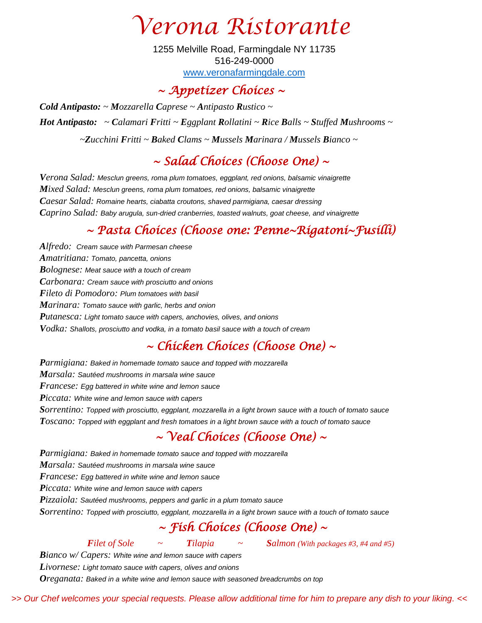*Verona Ristorante*

### *~ Appetizer Choices ~*

*Cold Antipasto: ~ Mozzarella Caprese ~ Antipasto Rustico ~ Hot Antipasto: ~ Calamari Fritti ~ Eggplant Rollatini ~ Rice Balls ~ Stuffed Mushrooms ~ ~Zucchini Fritti ~ Baked Clams ~ Mussels Marinara / Mussels Bianco ~*

# *~ Salad Choices (Choose One) ~*

*Verona Salad: Mesclun greens, roma plum tomatoes, eggplant, red onions, balsamic vinaigrette Mixed Salad: Mesclun greens, roma plum tomatoes, red onions, balsamic vinaigrette Caesar Salad: Romaine hearts, ciabatta croutons, shaved parmigiana, caesar dressing Caprino Salad: Baby arugula, sun-dried cranberries, toasted walnuts, goat cheese, and vinaigrette*

### *~ Pasta Choices (Choose one: Penne~Rigatoni~Fusilli)*

*Alfredo: Cream sauce with Parmesan cheese Amatritiana: Tomato, pancetta, onions Bolognese: Meat sauce with a touch of cream Carbonara: Cream sauce with prosciutto and onions Fileto di Pomodoro: Plum tomatoes with basil Marinara: Tomato sauce with garlic, herbs and onion Putanesca: Light tomato sauce with capers, anchovies, olives, and onions Vodka: Shallots, prosciutto and vodka, in a tomato basil sauce with a touch of cream*

## *~ Chicken Choices (Choose One) ~*

*Parmigiana: Baked in homemade tomato sauce and topped with mozzarella Marsala: Sautéed mushrooms in marsala wine sauce Francese: Egg battered in white wine and lemon sauce Piccata: White wine and lemon sauce with capers Sorrentino: Topped with prosciutto, eggplant, mozzarella in a light brown sauce with a touch of tomato sauce Toscano: Topped with eggplant and fresh tomatoes in a light brown sauce with a touch of tomato sauce*

## *~ Veal Choices (Choose One) ~*

*Parmigiana: Baked in homemade tomato sauce and topped with mozzarella Marsala: Sautéed mushrooms in marsala wine sauce Francese: Egg battered in white wine and lemon sauce Piccata: White wine and lemon sauce with capers Pizzaiola: Sautéed mushrooms, peppers and garlic in a plum tomato sauce Sorrentino: Topped with prosciutto, eggplant, mozzarella in a light brown sauce with a touch of tomato sauce ~ Fish Choices (Choose One) ~* 

*Filet of Sole*  $\sim$  *Tilapia*  $\sim$  *Salmon (With packages #3, #4 and #5)* 

*Bianco w/ Capers: White wine and lemon sauce with capers Livornese: Light tomato sauce with capers, olives and onions Oreganata: Baked in a white wine and lemon sauce with seasoned breadcrumbs on top*

*>> Our Chef welcomes your special requests. Please allow additional time for him to prepare any dish to your liking. <<*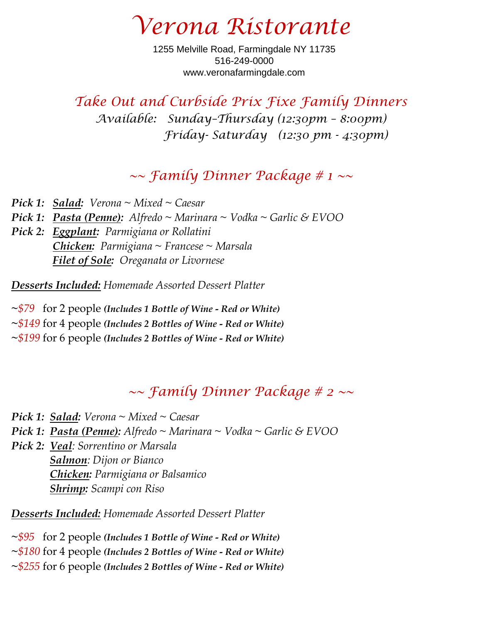*Verona Ristorante*

*Take Out and Curbside Prix Fixe Family Dinners Available: Sunday–Thursday (12:30pm – 8:00pm) Friday- Saturday (12:30 pm - 4:30pm)*

### *~~ Family Dinner Package # 1 ~~*

*Pick 1:**Salad: Verona ~ Mixed ~ Caesar Pick 1: Pasta (Penne): Alfredo ~ Marinara ~ Vodka ~ Garlic & EVOO Pick 2: Eggplant: Parmigiana or Rollatini Chicken: Parmigiana ~ Francese ~ Marsala Filet of Sole: Oreganata or Livornese*

*Desserts Included: Homemade Assorted Dessert Platter*

**~***\$79*for 2 people *(Includes 1 Bottle of Wine - Red or White)*

**~***\$149* for 4 people *(Includes 2 Bottles of Wine - Red or White)*

**~***\$199* for 6 people *(Includes 2 Bottles of Wine - Red or White)*

## *~~ Family Dinner Package # 2 ~~*

*Pick 1: Salad: Verona ~ Mixed ~ Caesar*

*Pick 1: Pasta (Penne): Alfredo ~ Marinara ~ Vodka ~ Garlic & EVOO*

*Pick 2: Veal: Sorrentino or Marsala Salmon: Dijon or Bianco Chicken: Parmigiana or Balsamico Shrimp: Scampi con Riso*

*Desserts Included: Homemade Assorted Dessert Platter*

**~***\$95*for 2 people *(Includes 1 Bottle of Wine - Red or White)*

**~***\$180* for 4 people *(Includes 2 Bottles of Wine - Red or White)*

**~***\$255* for 6 people *(Includes 2 Bottles of Wine - Red or White)*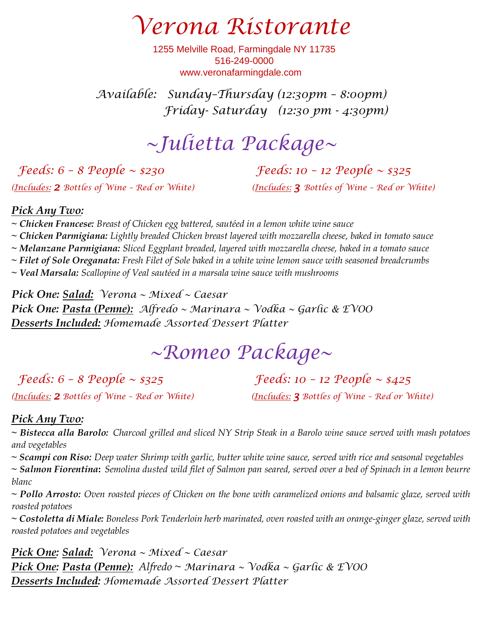*Verona Ristorante*

*Available: Sunday–Thursday (12:30pm – 8:00pm) Friday- Saturday (12:30 pm - 4:30pm)*

# *~Julietta Package~*

*Feeds: 6 – 8 People ~ \$230 Feeds: 10 – 12 People ~ \$325 (Includes: 2 Bottles of Wine – Red or White) (Includes: 3 Bottles of Wine – Red or White)*

#### *Pick Any Two:*

*~ Chicken Francese: Breast of Chicken egg battered, sautéed in a lemon white wine sauce* 

*~ Chicken Parmigiana: Lightly breaded Chicken breast layered with mozzarella cheese, baked in tomato sauce*

*~ Melanzane Parmigiana: Sliced Eggplant breaded, layered with mozzarella cheese, baked in a tomato sauce*

*~ Filet of Sole Oreganata: Fresh Filet of Sole baked in a white wine lemon sauce with seasoned breadcrumbs* 

*~ Veal Marsala: Scallopine of Veal sautéed in a marsala wine sauce with mushrooms* 

*Pick One: Salad: Verona ~ Mixed ~ Caesar Pick One: Pasta (Penne): Alfredo ~ Marinara ~ Vodka ~ Garlic & EVOO Desserts Included: Homemade Assorted Dessert Platter*

# *~Romeo Package~*

*Feeds: 6 – 8 People ~ \$325 Feeds: 10 – 12 People ~ \$425*

*(Includes: 2 Bottles of Wine – Red or White) (Includes: 3 Bottles of Wine – Red or White)*

#### *Pick Any Two:*

*~ Bistecca alla Barolo: Charcoal grilled and sliced NY Strip Steak in a Barolo wine sauce served with mash potatoes and vegetables*

*~ Scampi con Riso: Deep water Shrimp with garlic, butter white wine sauce, served with rice and seasonal vegetables*

*~ Salmon Fiorentina***:** *Semolina dusted wild filet of Salmon pan seared, served over a bed of Spinach in a lemon beurre blanc* 

*~ Pollo Arrosto: Oven roasted pieces of Chicken on the bone with caramelized onions and balsamic glaze, served with roasted potatoes* 

*~ Costoletta di Miale: Boneless Pork Tenderloin herb marinated, oven roasted with an orange-ginger glaze, served with roasted potatoes and vegetables*

*Pick One: Salad: Verona ~ Mixed ~ Caesar Pick One: Pasta (Penne): Alfredo ~ Marinara ~ Vodka ~ Garlic & EVOO Desserts Included: Homemade Assorted Dessert Platter*